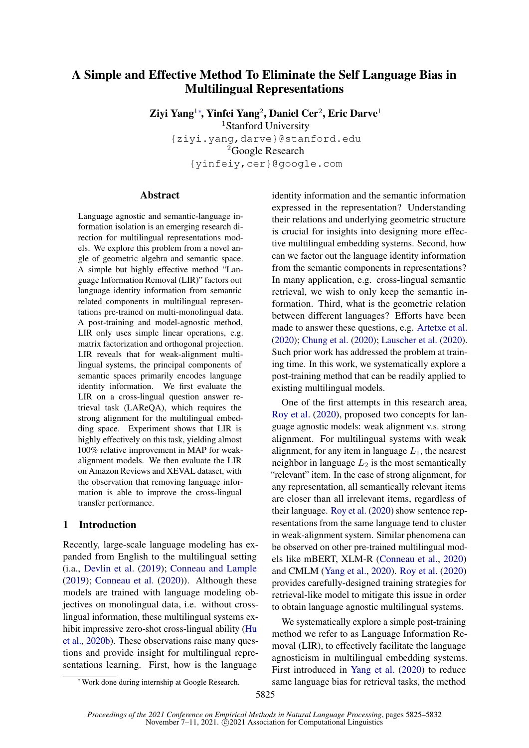# A Simple and Effective Method To Eliminate the Self Language Bias in Multilingual Representations

Ziyi Yang<sup>1∗</sup>, Yinfei Yang<sup>2</sup>, Daniel Cer<sup>2</sup>, Eric Darve<sup>1</sup>

<sup>1</sup>Stanford University

{ziyi.yang,darve}@stanford.edu <sup>2</sup>Google Research {yinfeiy,cer}@google.com

#### Abstract

Language agnostic and semantic-language information isolation is an emerging research direction for multilingual representations models. We explore this problem from a novel angle of geometric algebra and semantic space. A simple but highly effective method "Language Information Removal (LIR)" factors out language identity information from semantic related components in multilingual representations pre-trained on multi-monolingual data. A post-training and model-agnostic method, LIR only uses simple linear operations, e.g. matrix factorization and orthogonal projection. LIR reveals that for weak-alignment multilingual systems, the principal components of semantic spaces primarily encodes language identity information. We first evaluate the LIR on a cross-lingual question answer retrieval task (LAReQA), which requires the strong alignment for the multilingual embedding space. Experiment shows that LIR is highly effectively on this task, yielding almost 100% relative improvement in MAP for weakalignment models. We then evaluate the LIR on Amazon Reviews and XEVAL dataset, with the observation that removing language information is able to improve the cross-lingual transfer performance.

#### 1 Introduction

Recently, large-scale language modeling has expanded from English to the multilingual setting (i.a., [Devlin et al.](#page-5-0) [\(2019\)](#page-5-0); [Conneau and Lample](#page-5-1) [\(2019\)](#page-5-1); [Conneau et al.](#page-5-2) [\(2020\)](#page-5-2)). Although these models are trained with language modeling objectives on monolingual data, i.e. without crosslingual information, these multilingual systems exhibit impressive zero-shot cross-lingual ability [\(Hu](#page-5-3) [et al.,](#page-5-3) [2020b\)](#page-5-3). These observations raise many questions and provide insight for multilingual representations learning. First, how is the language

identity information and the semantic information expressed in the representation? Understanding their relations and underlying geometric structure is crucial for insights into designing more effective multilingual embedding systems. Second, how can we factor out the language identity information from the semantic components in representations? In many application, e.g. cross-lingual semantic retrieval, we wish to only keep the semantic information. Third, what is the geometric relation between different languages? Efforts have been made to answer these questions, e.g. [Artetxe et al.](#page-5-4) [\(2020\)](#page-5-4); [Chung et al.](#page-5-5) [\(2020\)](#page-5-5); [Lauscher et al.](#page-5-6) [\(2020\)](#page-5-6). Such prior work has addressed the problem at training time. In this work, we systematically explore a post-training method that can be readily applied to existing multilingual models.

One of the first attempts in this research area, [Roy et al.](#page-6-0) [\(2020\)](#page-6-0), proposed two concepts for language agnostic models: weak alignment v.s. strong alignment. For multilingual systems with weak alignment, for any item in language  $L_1$ , the nearest neighbor in language  $L_2$  is the most semantically "relevant" item. In the case of strong alignment, for any representation, all semantically relevant items are closer than all irrelevant items, regardless of their language. [Roy et al.](#page-6-0) [\(2020\)](#page-6-0) show sentence representations from the same language tend to cluster in weak-alignment system. Similar phenomena can be observed on other pre-trained multilingual models like mBERT, XLM-R [\(Conneau et al.,](#page-5-2) [2020\)](#page-5-2) and CMLM [\(Yang et al.,](#page-6-1) [2020\)](#page-6-1). [Roy et al.](#page-6-0) [\(2020\)](#page-6-0) provides carefully-designed training strategies for retrieval-like model to mitigate this issue in order to obtain language agnostic multilingual systems.

We systematically explore a simple post-training method we refer to as Language Information Removal (LIR), to effectively facilitate the language agnosticism in multilingual embedding systems. First introduced in [Yang et al.](#page-6-1) [\(2020\)](#page-6-1) to reduce same language bias for retrieval tasks, the method

<sup>∗</sup>Work done during internship at Google Research.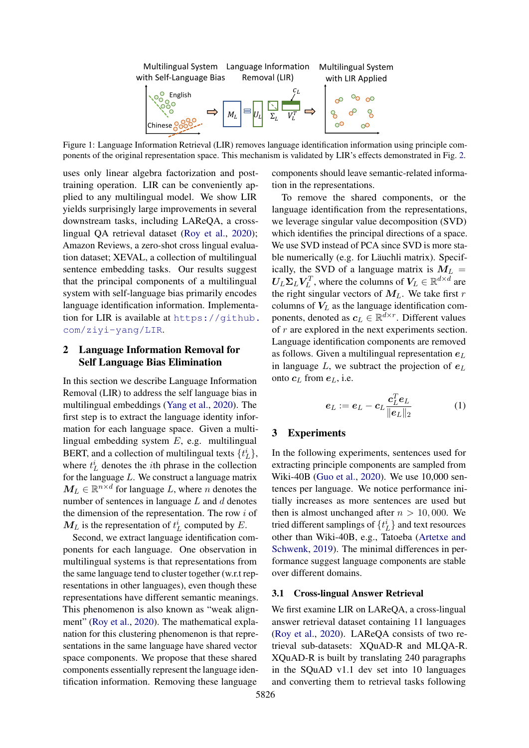

Figure 1: Language Information Retrieval (LIR) removes language identification information using principle components of the original representation space. This mechanism is validated by LIR's effects demonstrated in Fig. [2.](#page-2-0)

uses only linear algebra factorization and posttraining operation. LIR can be conveniently applied to any multilingual model. We show LIR yields surprisingly large improvements in several downstream tasks, including LAReQA, a crosslingual QA retrieval dataset [\(Roy et al.,](#page-6-0) [2020\)](#page-6-0); Amazon Reviews, a zero-shot cross lingual evaluation dataset; XEVAL, a collection of multilingual sentence embedding tasks. Our results suggest that the principal components of a multilingual system with self-language bias primarily encodes language identification information. Implementation for LIR is available at [https://github.](https://github.com/ziyi-yang/LIR) [com/ziyi-yang/LIR](https://github.com/ziyi-yang/LIR).

## 2 Language Information Removal for Self Language Bias Elimination

In this section we describe Language Information Removal (LIR) to address the self language bias in multilingual embeddings [\(Yang et al.,](#page-6-1) [2020\)](#page-6-1). The first step is to extract the language identity information for each language space. Given a multilingual embedding system E, e.g. multilingual BERT, and a collection of multilingual texts  $\{t_L^i\}$ , where  $t_L^i$  denotes the *i*th phrase in the collection for the language  $L$ . We construct a language matrix  $M_L \in \mathbb{R}^{n \times d}$  for language L, where n denotes the number of sentences in language  $L$  and  $d$  denotes the dimension of the representation. The row  $i$  of  $M_L$  is the representation of  $t_L^i$  computed by E.

Second, we extract language identification components for each language. One observation in multilingual systems is that representations from the same language tend to cluster together (w.r.t representations in other languages), even though these representations have different semantic meanings. This phenomenon is also known as "weak alignment" [\(Roy et al.,](#page-6-0) [2020\)](#page-6-0). The mathematical explanation for this clustering phenomenon is that representations in the same language have shared vector space components. We propose that these shared components essentially represent the language identification information. Removing these language

components should leave semantic-related information in the representations.

To remove the shared components, or the language identification from the representations, we leverage singular value decomposition (SVD) which identifies the principal directions of a space. We use SVD instead of PCA since SVD is more stable numerically (e.g. for Läuchli matrix). Specifically, the SVD of a language matrix is  $M_L$  =  $U_L \Sigma_L V_L^T$ , where the columns of  $V_L \in \mathbb{R}^{d \times d}$  are the right singular vectors of  $M_L$ . We take first r columns of  $V_L$  as the language identification components, denoted as  $c_L \in \mathbb{R}^{d \times r}$ . Different values of r are explored in the next experiments section. Language identification components are removed as follows. Given a multilingual representation  $e<sub>L</sub>$ in language L, we subtract the projection of  $e<sub>L</sub>$ onto  $c_L$  from  $e_L$ , i.e.

<span id="page-1-0"></span>
$$
\boldsymbol{e}_L := \boldsymbol{e}_L - \boldsymbol{c}_L \frac{\boldsymbol{c}_L^T \boldsymbol{e}_L}{\|\boldsymbol{e}_L\|_2} \tag{1}
$$

### 3 Experiments

In the following experiments, sentences used for extracting principle components are sampled from Wiki-40B [\(Guo et al.,](#page-5-7) [2020\)](#page-5-7). We use 10,000 sentences per language. We notice performance initially increases as more sentences are used but then is almost unchanged after  $n > 10,000$ . We tried different samplings of  $\{t_L^i\}$  and text resources other than Wiki-40B, e.g., Tatoeba [\(Artetxe and](#page-5-8) [Schwenk,](#page-5-8) [2019\)](#page-5-8). The minimal differences in performance suggest language components are stable over different domains.

#### <span id="page-1-1"></span>3.1 Cross-lingual Answer Retrieval

We first examine LIR on LAReQA, a cross-lingual answer retrieval dataset containing 11 languages [\(Roy et al.,](#page-6-0) [2020\)](#page-6-0). LAReQA consists of two retrieval sub-datasets: XQuAD-R and MLQA-R. XQuAD-R is built by translating 240 paragraphs in the SQuAD v1.1 dev set into 10 languages and converting them to retrieval tasks following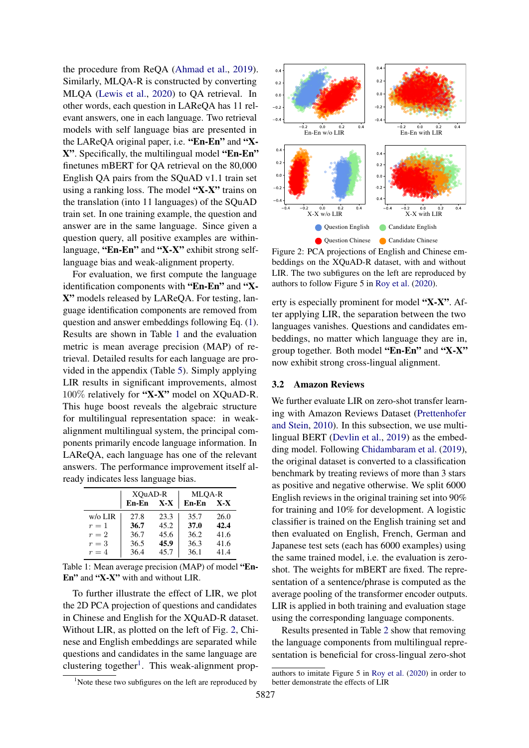the procedure from ReQA [\(Ahmad et al.,](#page-4-0) [2019\)](#page-4-0). Similarly, MLQA-R is constructed by converting MLQA [\(Lewis et al.,](#page-5-9) [2020\)](#page-5-9) to QA retrieval. In other words, each question in LAReQA has 11 relevant answers, one in each language. Two retrieval models with self language bias are presented in the LAReQA original paper, i.e. "En-En" and "X-X". Specifically, the multilingual model "En-En" finetunes mBERT for QA retrieval on the 80,000 English QA pairs from the SQuAD v1.1 train set using a ranking loss. The model "X-X" trains on the translation (into 11 languages) of the SQuAD train set. In one training example, the question and answer are in the same language. Since given a question query, all positive examples are withinlanguage, "En-En" and "X-X" exhibit strong selflanguage bias and weak-alignment property.

For evaluation, we first compute the language identification components with "En-En" and "X-X" models released by LAReQA. For testing, language identification components are removed from question and answer embeddings following Eq. [\(1\)](#page-1-0). Results are shown in Table [1](#page-2-1) and the evaluation metric is mean average precision (MAP) of retrieval. Detailed results for each language are provided in the appendix (Table [5\)](#page-7-0). Simply applying LIR results in significant improvements, almost 100% relatively for "X-X" model on XQuAD-R. This huge boost reveals the algebraic structure for multilingual representation space: in weakalignment multilingual system, the principal components primarily encode language information. In LAReQA, each language has one of the relevant answers. The performance improvement itself already indicates less language bias.

<span id="page-2-1"></span>

|            | XOuAD-R |         | MLQA-R |       |  |
|------------|---------|---------|--------|-------|--|
|            | En-En   | $X - X$ | En-En  | $X-X$ |  |
| $w$ /o LIR | 27.8    | 23.3    | 35.7   | 26.0  |  |
| $r=1$      | 36.7    | 45.2    | 37.0   | 42.4  |  |
| $r=2$      | 36.7    | 45.6    | 36.2   | 41.6  |  |
| $r=3$      | 36.5    | 45.9    | 36.3   | 41.6  |  |
| $r=4$      | 36.4    | 45.7    | 36.1   | 41.4  |  |

Table 1: Mean average precision (MAP) of model "En-En" and "X-X" with and without LIR.

To further illustrate the effect of LIR, we plot the 2D PCA projection of questions and candidates in Chinese and English for the XQuAD-R dataset. Without LIR, as plotted on the left of Fig. [2,](#page-2-0) Chinese and English embeddings are separated while questions and candidates in the same language are clustering together<sup>[1](#page-2-2)</sup>. This weak-alignment prop-

<span id="page-2-0"></span>

Figure 2: PCA projections of English and Chinese embeddings on the XQuAD-R dataset, with and without LIR. The two subfigures on the left are reproduced by authors to follow Figure 5 in [Roy et al.](#page-6-0) [\(2020\)](#page-6-0).

erty is especially prominent for model "X-X". After applying LIR, the separation between the two languages vanishes. Questions and candidates embeddings, no matter which language they are in, group together. Both model "En-En" and "X-X" now exhibit strong cross-lingual alignment.

#### <span id="page-2-3"></span>3.2 Amazon Reviews

We further evaluate LIR on zero-shot transfer learning with Amazon Reviews Dataset [\(Prettenhofer](#page-6-2) [and Stein,](#page-6-2) [2010\)](#page-6-2). In this subsection, we use multilingual BERT [\(Devlin et al.,](#page-5-0) [2019\)](#page-5-0) as the embedding model. Following [Chidambaram et al.](#page-5-10) [\(2019\)](#page-5-10), the original dataset is converted to a classification benchmark by treating reviews of more than 3 stars as positive and negative otherwise. We split 6000 English reviews in the original training set into 90% for training and 10% for development. A logistic classifier is trained on the English training set and then evaluated on English, French, German and Japanese test sets (each has 6000 examples) using the same trained model, i.e. the evaluation is zeroshot. The weights for mBERT are fixed. The representation of a sentence/phrase is computed as the average pooling of the transformer encoder outputs. LIR is applied in both training and evaluation stage using the corresponding language components.

Results presented in Table [2](#page-3-0) show that removing the language components from multilingual representation is beneficial for cross-lingual zero-shot

<span id="page-2-2"></span> $1$ Note these two subfigures on the left are reproduced by

authors to imitate Figure 5 in [Roy et al.](#page-6-0) [\(2020\)](#page-6-0) in order to better demonstrate the effects of LIR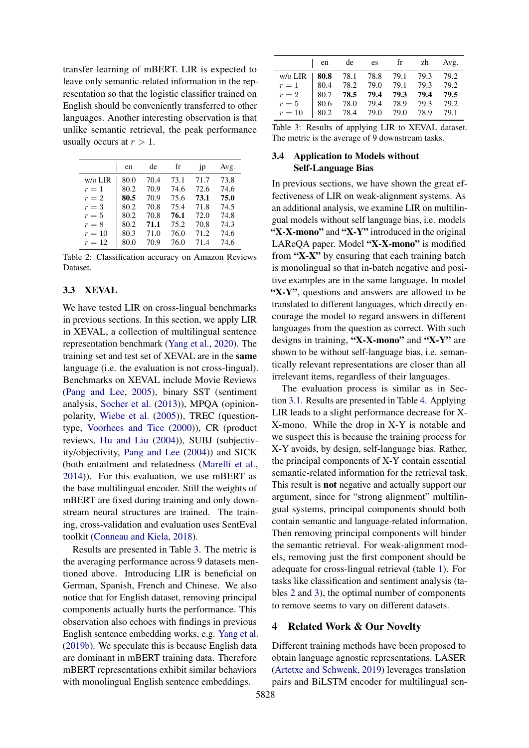transfer learning of mBERT. LIR is expected to leave only semantic-related information in the representation so that the logistic classifier trained on English should be conveniently transferred to other languages. Another interesting observation is that unlike semantic retrieval, the peak performance usually occurs at  $r > 1$ .

<span id="page-3-0"></span>

|         | en   | de   | fr   | 1 <sub>p</sub> | Avg. |
|---------|------|------|------|----------------|------|
| w/o LIR | 80.0 | 70.4 | 73.1 | 71.7           | 73.8 |
| $r=1$   | 80.2 | 70.9 | 74.6 | 72.6           | 74.6 |
| $r=2$   | 80.5 | 70.9 | 75.6 | 73.1           | 75.0 |
| $r=3$   | 80.2 | 70.8 | 75.4 | 71.8           | 74.5 |
| $r=5$   | 80.2 | 70.8 | 76.1 | 72.0           | 74.8 |
| $r = 8$ | 80.2 | 71.1 | 75.2 | 70.8           | 74.3 |
| $r=10$  | 80.3 | 71.0 | 76.0 | 71.2           | 74.6 |
| $r=12$  | 80.0 | 70.9 | 76.0 | 71.4           | 74.6 |

Table 2: Classification accuracy on Amazon Reviews Dataset.

#### <span id="page-3-2"></span>3.3 XEVAL

We have tested LIR on cross-lingual benchmarks in previous sections. In this section, we apply LIR in XEVAL, a collection of multilingual sentence representation benchmark [\(Yang et al.,](#page-6-1) [2020\)](#page-6-1). The training set and test set of XEVAL are in the same language (i.e. the evaluation is not cross-lingual). Benchmarks on XEVAL include Movie Reviews [\(Pang and Lee,](#page-6-3) [2005\)](#page-6-3), binary SST (sentiment analysis, [Socher et al.](#page-6-4) [\(2013\)](#page-6-4)), MPQA (opinionpolarity, [Wiebe et al.](#page-6-5) [\(2005\)](#page-6-5)), TREC (questiontype, [Voorhees and Tice](#page-6-6) [\(2000\)](#page-6-6)), CR (product reviews, [Hu and Liu](#page-5-11) [\(2004\)](#page-5-11)), SUBJ (subjectivity/objectivity, [Pang and Lee](#page-6-7) [\(2004\)](#page-6-7)) and SICK (both entailment and relatedness [\(Marelli et al.,](#page-5-12) [2014\)](#page-5-12)). For this evaluation, we use mBERT as the base multilingual encoder. Still the weights of mBERT are fixed during training and only downstream neural structures are trained. The training, cross-validation and evaluation uses SentEval toolkit [\(Conneau and Kiela,](#page-5-13) [2018\)](#page-5-13).

Results are presented in Table [3.](#page-3-1) The metric is the averaging performance across 9 datasets mentioned above. Introducing LIR is beneficial on German, Spanish, French and Chinese. We also notice that for English dataset, removing principal components actually hurts the performance. This observation also echoes with findings in previous English sentence embedding works, e.g. [Yang et al.](#page-6-8) [\(2019b\)](#page-6-8). We speculate this is because English data are dominant in mBERT training data. Therefore mBERT representations exhibit similar behaviors with monolingual English sentence embeddings.

<span id="page-3-1"></span>

|                                         | en                                                                           | de |  | es fr zh Avg. |      |
|-----------------------------------------|------------------------------------------------------------------------------|----|--|---------------|------|
| w/o LIR   80.8 78.1 78.8 79.1 79.3 79.2 |                                                                              |    |  |               |      |
| $r=1$                                   | $\begin{array}{cccc} \n80.4 & 78.2 & 79.0 & 79.1 & 79.3 & 79.2\n\end{array}$ |    |  |               |      |
| $r=2$                                   | $\parallel$ 80.7 78.5 79.4 79.3 79.4                                         |    |  |               | 79.5 |
| $r=5$                                   | 80.6 78.0 79.4 78.9 79.3 79.2                                                |    |  |               |      |
| $r=10$                                  | 80.2 78.4 79.0 79.0 78.9 79.1                                                |    |  |               |      |

Table 3: Results of applying LIR to XEVAL dataset. The metric is the average of 9 downstream tasks.

#### 3.4 Application to Models without Self-Language Bias

In previous sections, we have shown the great effectiveness of LIR on weak-alignment systems. As an additional analysis, we examine LIR on multilingual models without self language bias, i.e. models "X-X-mono" and "X-Y" introduced in the original LAReQA paper. Model "X-X-mono" is modified from "X-X" by ensuring that each training batch is monolingual so that in-batch negative and positive examples are in the same language. In model "X-Y", questions and answers are allowed to be translated to different languages, which directly encourage the model to regard answers in different languages from the question as correct. With such designs in training, "X-X-mono" and "X-Y" are shown to be without self-language bias, i.e. semantically relevant representations are closer than all irrelevant items, regardless of their languages.

The evaluation process is similar as in Section [3.1.](#page-1-1) Results are presented in Table [4.](#page-4-1) Applying LIR leads to a slight performance decrease for X-X-mono. While the drop in X-Y is notable and we suspect this is because the training process for X-Y avoids, by design, self-language bias. Rather, the principal components of X-Y contain essential semantic-related information for the retrieval task. This result is not negative and actually support our argument, since for "strong alignment" multilingual systems, principal components should both contain semantic and language-related information. Then removing principal components will hinder the semantic retrieval. For weak-alignment models, removing just the first component should be adequate for cross-lingual retrieval (table [1\)](#page-2-1). For tasks like classification and sentiment analysis (tables [2](#page-3-0) and [3\)](#page-3-1), the optimal number of components to remove seems to vary on different datasets.

## 4 Related Work & Our Novelty

Different training methods have been proposed to obtain language agnostic representations. LASER [\(Artetxe and Schwenk,](#page-5-8) [2019\)](#page-5-8) leverages translation pairs and BiLSTM encoder for multilingual sen-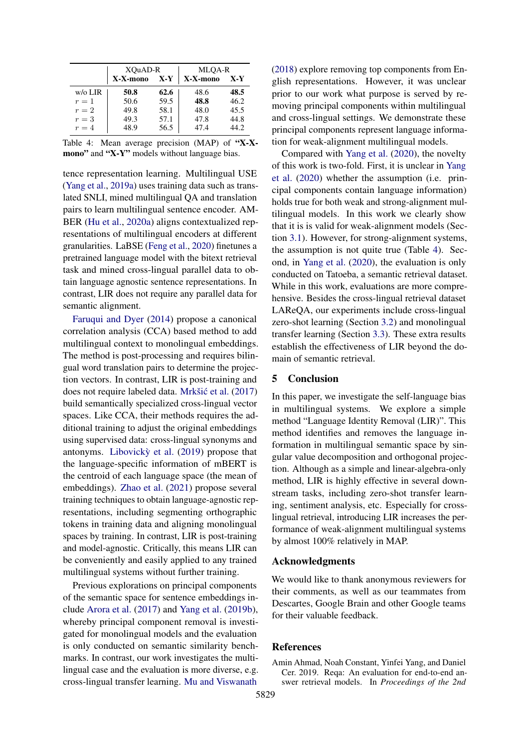<span id="page-4-1"></span>

|            | XQuAD-R  |       | MLOA-R   |       |  |
|------------|----------|-------|----------|-------|--|
|            | X-X-mono | $X-Y$ | X-X-mono | $X-Y$ |  |
| $w$ /o LIR | 50.8     | 62.6  | 48.6     | 48.5  |  |
| $r=1$      | 50.6     | 59.5  | 48.8     | 46.2  |  |
| $r=2$      | 49.8     | 58.1  | 48.0     | 45.5  |  |
| $r=3$      | 49.3     | 57.1  | 47.8     | 44.8  |  |
| $r=4$      | 48.9     | 56.5  | 47.4     | 44.2. |  |

Table 4: Mean average precision (MAP) of "X-Xmono" and "X-Y" models without language bias.

tence representation learning. Multilingual USE [\(Yang et al.,](#page-6-9) [2019a\)](#page-6-9) uses training data such as translated SNLI, mined multilingual QA and translation pairs to learn multilingual sentence encoder. AM-BER [\(Hu et al.,](#page-5-14) [2020a\)](#page-5-14) aligns contextualized representations of multilingual encoders at different granularities. LaBSE [\(Feng et al.,](#page-5-15) [2020\)](#page-5-15) finetunes a pretrained language model with the bitext retrieval task and mined cross-lingual parallel data to obtain language agnostic sentence representations. In contrast, LIR does not require any parallel data for semantic alignment.

[Faruqui and Dyer](#page-5-16) [\(2014\)](#page-5-16) propose a canonical correlation analysis (CCA) based method to add multilingual context to monolingual embeddings. The method is post-processing and requires bilingual word translation pairs to determine the projection vectors. In contrast, LIR is post-training and does not require labeled data. Mrkšić et al. [\(2017\)](#page-5-17) build semantically specialized cross-lingual vector spaces. Like CCA, their methods requires the additional training to adjust the original embeddings using supervised data: cross-lingual synonyms and antonyms. Libovick $\dot{y}$  et al. [\(2019\)](#page-5-18) propose that the language-specific information of mBERT is the centroid of each language space (the mean of embeddings). [Zhao et al.](#page-6-10) [\(2021\)](#page-6-10) propose several training techniques to obtain language-agnostic representations, including segmenting orthographic tokens in training data and aligning monolingual spaces by training. In contrast, LIR is post-training and model-agnostic. Critically, this means LIR can be conveniently and easily applied to any trained multilingual systems without further training.

Previous explorations on principal components of the semantic space for sentence embeddings include [Arora et al.](#page-5-19) [\(2017\)](#page-5-19) and [Yang et al.](#page-6-8) [\(2019b\)](#page-6-8), whereby principal component removal is investigated for monolingual models and the evaluation is only conducted on semantic similarity benchmarks. In contrast, our work investigates the multilingual case and the evaluation is more diverse, e.g. cross-lingual transfer learning. [Mu and Viswanath](#page-5-20)

[\(2018\)](#page-5-20) explore removing top components from English representations. However, it was unclear prior to our work what purpose is served by removing principal components within multilingual and cross-lingual settings. We demonstrate these principal components represent language information for weak-alignment multilingual models.

Compared with [Yang et al.](#page-6-1) [\(2020\)](#page-6-1), the novelty of this work is two-fold. First, it is unclear in [Yang](#page-6-1) [et al.](#page-6-1) [\(2020\)](#page-6-1) whether the assumption (i.e. principal components contain language information) holds true for both weak and strong-alignment multilingual models. In this work we clearly show that it is is valid for weak-alignment models (Section [3.1\)](#page-1-1). However, for strong-alignment systems, the assumption is not quite true (Table [4\)](#page-4-1). Second, in [Yang et al.](#page-6-1) [\(2020\)](#page-6-1), the evaluation is only conducted on Tatoeba, a semantic retrieval dataset. While in this work, evaluations are more comprehensive. Besides the cross-lingual retrieval dataset LAReQA, our experiments include cross-lingual zero-shot learning (Section [3.2\)](#page-2-3) and monolingual transfer learning (Section [3.3\)](#page-3-2). These extra results establish the effectiveness of LIR beyond the domain of semantic retrieval.

#### 5 Conclusion

In this paper, we investigate the self-language bias in multilingual systems. We explore a simple method "Language Identity Removal (LIR)". This method identifies and removes the language information in multilingual semantic space by singular value decomposition and orthogonal projection. Although as a simple and linear-algebra-only method, LIR is highly effective in several downstream tasks, including zero-shot transfer learning, sentiment analysis, etc. Especially for crosslingual retrieval, introducing LIR increases the performance of weak-alignment multilingual systems by almost 100% relatively in MAP.

#### Acknowledgments

We would like to thank anonymous reviewers for their comments, as well as our teammates from Descartes, Google Brain and other Google teams for their valuable feedback.

#### References

<span id="page-4-0"></span>Amin Ahmad, Noah Constant, Yinfei Yang, and Daniel Cer. 2019. Reqa: An evaluation for end-to-end answer retrieval models. In *Proceedings of the 2nd*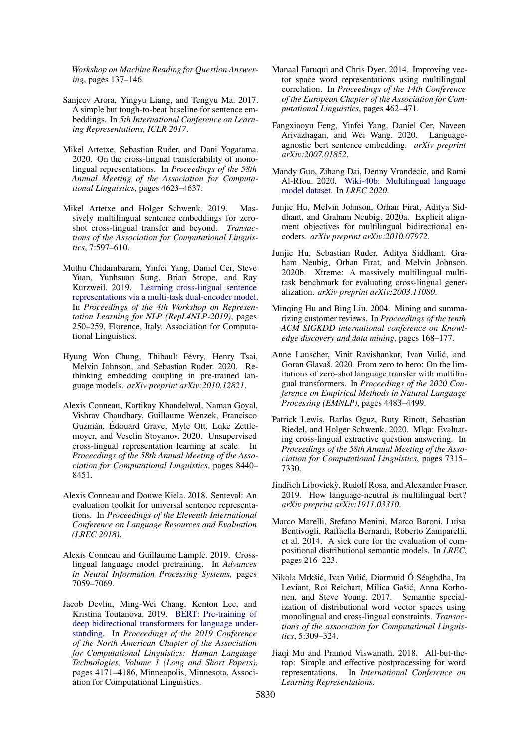*Workshop on Machine Reading for Question Answering*, pages 137–146.

- <span id="page-5-19"></span>Sanjeev Arora, Yingyu Liang, and Tengyu Ma. 2017. A simple but tough-to-beat baseline for sentence embeddings. In *5th International Conference on Learning Representations, ICLR 2017*.
- <span id="page-5-4"></span>Mikel Artetxe, Sebastian Ruder, and Dani Yogatama. 2020. On the cross-lingual transferability of monolingual representations. In *Proceedings of the 58th Annual Meeting of the Association for Computational Linguistics*, pages 4623–4637.
- <span id="page-5-8"></span>Mikel Artetxe and Holger Schwenk. 2019. Massively multilingual sentence embeddings for zeroshot cross-lingual transfer and beyond. *Transactions of the Association for Computational Linguistics*, 7:597–610.
- <span id="page-5-10"></span>Muthu Chidambaram, Yinfei Yang, Daniel Cer, Steve Yuan, Yunhsuan Sung, Brian Strope, and Ray Kurzweil. 2019. [Learning cross-lingual sentence](https://doi.org/10.18653/v1/W19-4330) [representations via a multi-task dual-encoder model.](https://doi.org/10.18653/v1/W19-4330) In *Proceedings of the 4th Workshop on Representation Learning for NLP (RepL4NLP-2019)*, pages 250–259, Florence, Italy. Association for Computational Linguistics.
- <span id="page-5-5"></span>Hyung Won Chung, Thibault Févry, Henry Tsai, Melvin Johnson, and Sebastian Ruder. 2020. Rethinking embedding coupling in pre-trained language models. *arXiv preprint arXiv:2010.12821*.
- <span id="page-5-2"></span>Alexis Conneau, Kartikay Khandelwal, Naman Goyal, Vishrav Chaudhary, Guillaume Wenzek, Francisco Guzmán, Édouard Grave, Myle Ott, Luke Zettlemoyer, and Veselin Stoyanov. 2020. Unsupervised cross-lingual representation learning at scale. In *Proceedings of the 58th Annual Meeting of the Association for Computational Linguistics*, pages 8440– 8451.
- <span id="page-5-13"></span>Alexis Conneau and Douwe Kiela. 2018. Senteval: An evaluation toolkit for universal sentence representations. In *Proceedings of the Eleventh International Conference on Language Resources and Evaluation (LREC 2018)*.
- <span id="page-5-1"></span>Alexis Conneau and Guillaume Lample. 2019. Crosslingual language model pretraining. In *Advances in Neural Information Processing Systems*, pages 7059–7069.
- <span id="page-5-0"></span>Jacob Devlin, Ming-Wei Chang, Kenton Lee, and Kristina Toutanova. 2019. [BERT: Pre-training of](https://doi.org/10.18653/v1/N19-1423) [deep bidirectional transformers for language under](https://doi.org/10.18653/v1/N19-1423)[standing.](https://doi.org/10.18653/v1/N19-1423) In *Proceedings of the 2019 Conference of the North American Chapter of the Association for Computational Linguistics: Human Language Technologies, Volume 1 (Long and Short Papers)*, pages 4171–4186, Minneapolis, Minnesota. Association for Computational Linguistics.
- <span id="page-5-16"></span>Manaal Faruqui and Chris Dyer. 2014. Improving vector space word representations using multilingual correlation. In *Proceedings of the 14th Conference of the European Chapter of the Association for Computational Linguistics*, pages 462–471.
- <span id="page-5-15"></span>Fangxiaoyu Feng, Yinfei Yang, Daniel Cer, Naveen Arivazhagan, and Wei Wang. 2020. Languageagnostic bert sentence embedding. *arXiv preprint arXiv:2007.01852*.
- <span id="page-5-7"></span>Mandy Guo, Zihang Dai, Denny Vrandecic, and Rami Al-Rfou. 2020. [Wiki-40b: Multilingual language](http://www.lrec-conf.org/proceedings/lrec2020/pdf/2020.lrec-1.296.pdf) [model dataset.](http://www.lrec-conf.org/proceedings/lrec2020/pdf/2020.lrec-1.296.pdf) In *LREC 2020*.
- <span id="page-5-14"></span>Junjie Hu, Melvin Johnson, Orhan Firat, Aditya Siddhant, and Graham Neubig. 2020a. Explicit alignment objectives for multilingual bidirectional encoders. *arXiv preprint arXiv:2010.07972*.
- <span id="page-5-3"></span>Junjie Hu, Sebastian Ruder, Aditya Siddhant, Graham Neubig, Orhan Firat, and Melvin Johnson. 2020b. Xtreme: A massively multilingual multitask benchmark for evaluating cross-lingual generalization. *arXiv preprint arXiv:2003.11080*.
- <span id="page-5-11"></span>Minqing Hu and Bing Liu. 2004. Mining and summarizing customer reviews. In *Proceedings of the tenth ACM SIGKDD international conference on Knowledge discovery and data mining*, pages 168–177.
- <span id="page-5-6"></span>Anne Lauscher, Vinit Ravishankar, Ivan Vulic, and ´ Goran Glavaš. 2020. From zero to hero: On the limitations of zero-shot language transfer with multilingual transformers. In *Proceedings of the 2020 Conference on Empirical Methods in Natural Language Processing (EMNLP)*, pages 4483–4499.
- <span id="page-5-9"></span>Patrick Lewis, Barlas Oguz, Ruty Rinott, Sebastian Riedel, and Holger Schwenk. 2020. Mlqa: Evaluating cross-lingual extractive question answering. In *Proceedings of the 58th Annual Meeting of the Association for Computational Linguistics*, pages 7315– 7330.
- <span id="page-5-18"></span>Jindřich Libovický, Rudolf Rosa, and Alexander Fraser. 2019. How language-neutral is multilingual bert? *arXiv preprint arXiv:1911.03310*.
- <span id="page-5-12"></span>Marco Marelli, Stefano Menini, Marco Baroni, Luisa Bentivogli, Raffaella Bernardi, Roberto Zamparelli, et al. 2014. A sick cure for the evaluation of compositional distributional semantic models. In *LREC*, pages 216–223.
- <span id="page-5-17"></span>Nikola Mrkšić, Ivan Vulić, Diarmuid Ó Séaghdha, Ira Leviant, Roi Reichart, Milica Gašić, Anna Korhonen, and Steve Young. 2017. Semantic specialization of distributional word vector spaces using monolingual and cross-lingual constraints. *Transactions of the association for Computational Linguistics*, 5:309–324.
- <span id="page-5-20"></span>Jiaqi Mu and Pramod Viswanath. 2018. All-but-thetop: Simple and effective postprocessing for word representations. In *International Conference on Learning Representations*.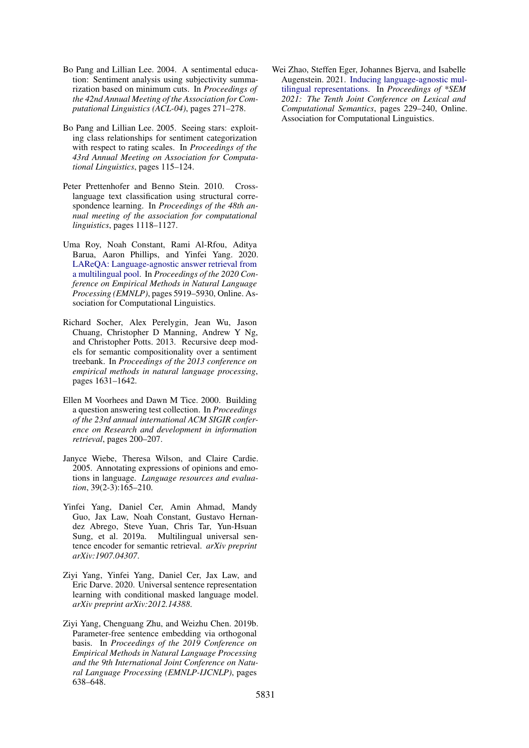- <span id="page-6-7"></span>Bo Pang and Lillian Lee. 2004. A sentimental education: Sentiment analysis using subjectivity summarization based on minimum cuts. In *Proceedings of the 42nd Annual Meeting of the Association for Computational Linguistics (ACL-04)*, pages 271–278.
- <span id="page-6-3"></span>Bo Pang and Lillian Lee. 2005. Seeing stars: exploiting class relationships for sentiment categorization with respect to rating scales. In *Proceedings of the 43rd Annual Meeting on Association for Computational Linguistics*, pages 115–124.
- <span id="page-6-2"></span>Peter Prettenhofer and Benno Stein. 2010. Crosslanguage text classification using structural correspondence learning. In *Proceedings of the 48th annual meeting of the association for computational linguistics*, pages 1118–1127.
- <span id="page-6-0"></span>Uma Roy, Noah Constant, Rami Al-Rfou, Aditya Barua, Aaron Phillips, and Yinfei Yang. 2020. [LAReQA: Language-agnostic answer retrieval from](https://doi.org/10.18653/v1/2020.emnlp-main.477) [a multilingual pool.](https://doi.org/10.18653/v1/2020.emnlp-main.477) In *Proceedings of the 2020 Conference on Empirical Methods in Natural Language Processing (EMNLP)*, pages 5919–5930, Online. Association for Computational Linguistics.
- <span id="page-6-4"></span>Richard Socher, Alex Perelygin, Jean Wu, Jason Chuang, Christopher D Manning, Andrew Y Ng, and Christopher Potts. 2013. Recursive deep models for semantic compositionality over a sentiment treebank. In *Proceedings of the 2013 conference on empirical methods in natural language processing*, pages 1631–1642.
- <span id="page-6-6"></span>Ellen M Voorhees and Dawn M Tice. 2000. Building a question answering test collection. In *Proceedings of the 23rd annual international ACM SIGIR conference on Research and development in information retrieval*, pages 200–207.
- <span id="page-6-5"></span>Janyce Wiebe, Theresa Wilson, and Claire Cardie. 2005. Annotating expressions of opinions and emotions in language. *Language resources and evaluation*, 39(2-3):165–210.
- <span id="page-6-9"></span>Yinfei Yang, Daniel Cer, Amin Ahmad, Mandy Guo, Jax Law, Noah Constant, Gustavo Hernandez Abrego, Steve Yuan, Chris Tar, Yun-Hsuan Sung, et al. 2019a. Multilingual universal sentence encoder for semantic retrieval. *arXiv preprint arXiv:1907.04307*.
- <span id="page-6-1"></span>Ziyi Yang, Yinfei Yang, Daniel Cer, Jax Law, and Eric Darve. 2020. Universal sentence representation learning with conditional masked language model. *arXiv preprint arXiv:2012.14388*.
- <span id="page-6-8"></span>Ziyi Yang, Chenguang Zhu, and Weizhu Chen. 2019b. Parameter-free sentence embedding via orthogonal basis. In *Proceedings of the 2019 Conference on Empirical Methods in Natural Language Processing and the 9th International Joint Conference on Natural Language Processing (EMNLP-IJCNLP)*, pages 638–648.

<span id="page-6-10"></span>Wei Zhao, Steffen Eger, Johannes Bjerva, and Isabelle Augenstein. 2021. [Inducing language-agnostic mul](https://doi.org/10.18653/v1/2021.starsem-1.22)[tilingual representations.](https://doi.org/10.18653/v1/2021.starsem-1.22) In *Proceedings of \*SEM 2021: The Tenth Joint Conference on Lexical and Computational Semantics*, pages 229–240, Online. Association for Computational Linguistics.